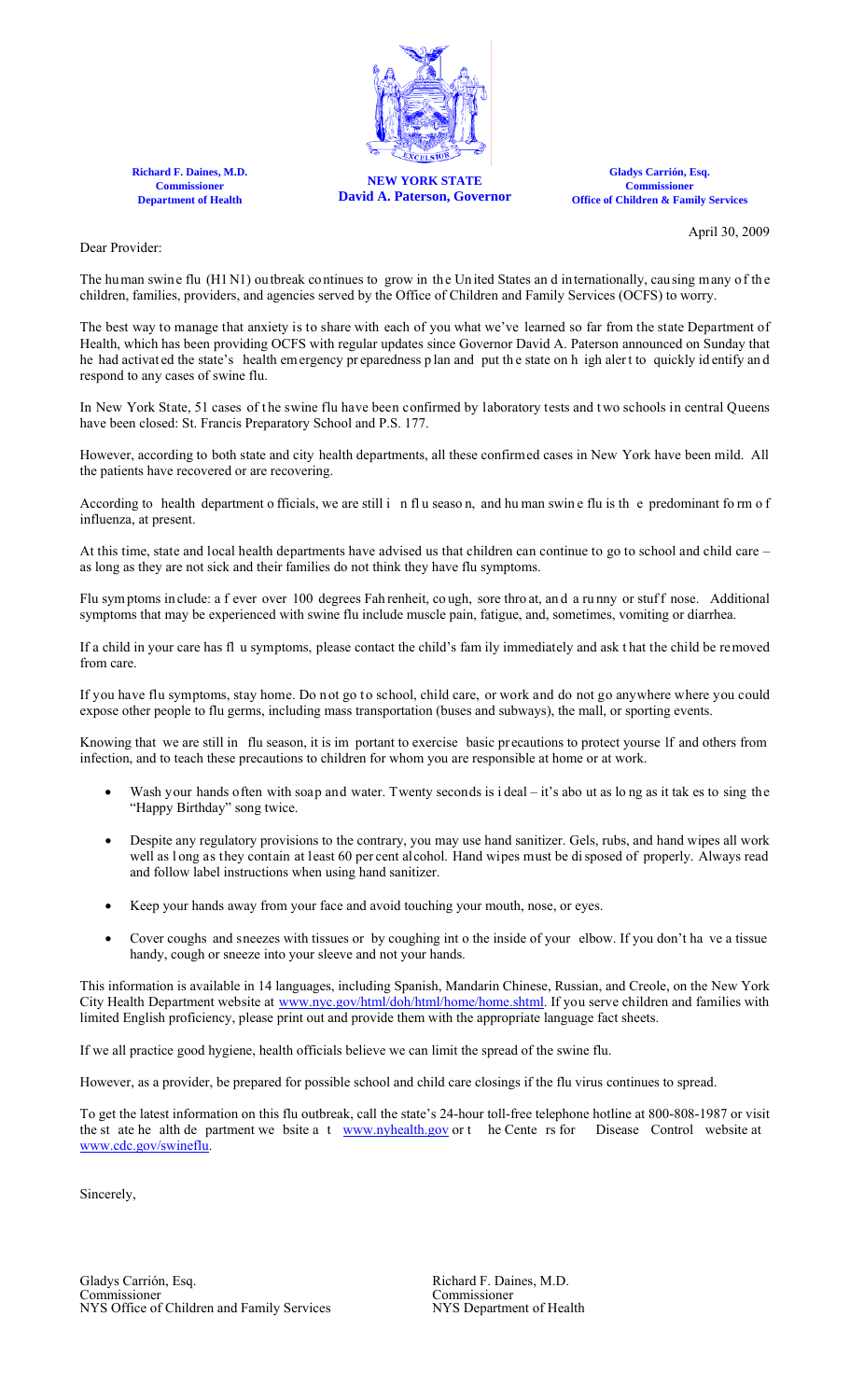

**Richard F. Daines, M.D. Commissioner Department of Health**

**NEW YORK STATE David A. Paterson, Governor**

**Gladys Carrión, Esq. Commissioner Office of Children & Family Services**

April 30, 2009

Dear Provider:

The human swin e flu (H1 N1) ou tbreak continues to grow in the United States and internationally, causing many of the children, families, providers, and agencies served by the Office of Children and Family Services (OCFS) to worry.

The best way to manage that anxiety is to share with each of you what we've learned so far from the state Department of Health, which has been providing OCFS with regular updates since Governor David A. Paterson announced on Sunday that he had activated the state's health emergency pr eparedness p lan and put the state on h igh alert to quickly identify and respond to any cases of swine flu.

In New York State, 51 cases of the swine flu have been confirmed by laboratory tests and two schools in central Queens have been closed: St. Francis Preparatory School and P.S. 177.

However, according to both state and city health departments, all these confirmed cases in New York have been mild. All the patients have recovered or are recovering.

According to health department o fficials, we are still in flu season, and human swin e flu is the predominant form of influenza, at present.

At this time, state and local health departments have advised us that children can continue to go to school and child care – as long as they are not sick and their families do not think they have flu symptoms.

Flu symptoms in clude: a f ever over 100 degrees Fah renheit, co ugh, sore thro at, and a runny or stuff nose. Additional symptoms that may be experienced with swine flu include muscle pain, fatigue, and, sometimes, vomiting or diarrhea.

If a child in your care has fl u symptoms, please contact the child's fam ily immediately and ask t hat the child be removed from care.

If you have flu symptoms, stay home. Do n ot go to school, child care, or work and do not go anywhere where you could expose other people to flu germs, including mass transportation (buses and subways), the mall, or sporting events.

Knowing that we are still in flu season, it is im portant to exercise basic pr ecautions to protect yourse lf and others from infection, and to teach these precautions to children for whom you are responsible at home or at work.

- Wash your hands often with soap and water. Twenty seconds is i deal it's abo ut as long as it tak es to sing the "Happy Birthday" song twice.
- Despite any regulatory provisions to the contrary, you may use hand sanitizer. Gels, rubs, and hand wipes all work well as l ong as they contain at least 60 per cent alcohol. Hand wipes must be di sposed of properly. Always read and follow label instructions when using hand sanitizer.
- Keep your hands away from your face and avoid touching your mouth, nose, or eyes.
- Cover coughs and sneezes with tissues or by coughing int o the inside of your elbow. If you don't ha ve a tissue handy, cough or sneeze into your sleeve and not your hands.

This information is available in 14 languages, including Spanish, Mandarin Chinese, Russian, and Creole, on the New York City Health Department website at [www.nyc.gov/html/doh/html/home/home.shtml.](http://www.nyc.gov/html/doh/html/home/home.shtml) If you serve children and families with limited English proficiency, please print out and provide them with the appropriate language fact sheets.

If we all practice good hygiene, health officials believe we can limit the spread of the swine flu.

However, as a provider, be prepared for possible school and child care closings if the flu virus continues to spread.

To get the latest information on this flu outbreak, call the state's 24-hour toll-free telephone hotline at 800-808-1987 or visit the st ate he alth de partment we bsite a t www.nyhealth.gov or t he Cente rs for Disease Co the st ate he alth de partment we bsite a t  $www.nyhealth.gov$  or t he Cente rs for [www.cdc.gov/swineflu](http://www.cdc.gov/swineflu).

Sincerely,